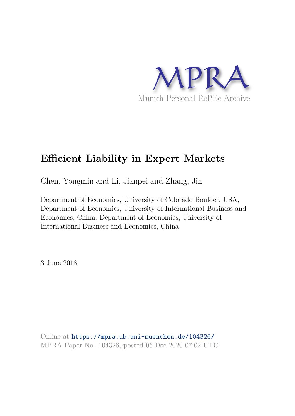

# **Efficient Liability in Expert Markets**

Chen, Yongmin and Li, Jianpei and Zhang, Jin

Department of Economics, University of Colorado Boulder, USA, Department of Economics, University of International Business and Economics, China, Department of Economics, University of International Business and Economics, China

3 June 2018

Online at https://mpra.ub.uni-muenchen.de/104326/ MPRA Paper No. 104326, posted 05 Dec 2020 07:02 UTC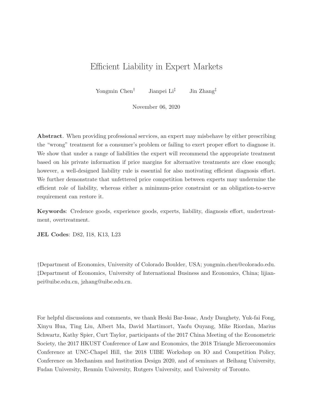# Efficient Liability in Expert Markets

Yongmin Chen<sup>†</sup> Jianpei Li<sup>‡</sup> Jin Zhang<sup>‡</sup>

November 06, 2020

Abstract. When providing professional services, an expert may misbehave by either prescribing the "wrong" treatment for a consumer's problem or failing to exert proper effort to diagnose it. We show that under a range of liabilities the expert will recommend the appropriate treatment based on his private information if price margins for alternative treatments are close enough; however, a well-designed liability rule is essential for also motivating efficient diagnosis effort. We further demonstrate that unfettered price competition between experts may undermine the efficient role of liability, whereas either a minimum-price constraint or an obligation-to-serve requirement can restore it.

Keywords: Credence goods, experience goods, experts, liability, diagnosis effort, undertreatment, overtreatment.

JEL Codes: D82, I18, K13, L23

†Department of Economics, University of Colorado Boulder, USA; yongmin.chen@colorado.edu. ‡Department of Economics, University of International Business and Economics, China; lijianpei@uibe.edu.cn, jzhang@uibe.edu.cn.

For helpful discussions and comments, we thank Heski Bar-Issac, Andy Daughety, Yuk-fai Fong, Xinyu Hua, Ting Liu, Albert Ma, David Martimort, Yaofu Ouyang, Mike Riordan, Marius Schwartz, Kathy Spier, Curt Taylor, participants of the 2017 China Meeting of the Econometric Society, the 2017 HKUST Conference of Law and Economics, the 2018 Triangle Microeconomics Conference at UNC-Chapel Hill, the 2018 UIBE Workshop on IO and Competition Policy, Conference on Mechanism and Institution Design 2020, and of seminars at Beihang University, Fudan University, Renmin University, Rutgers University, and University of Toronto.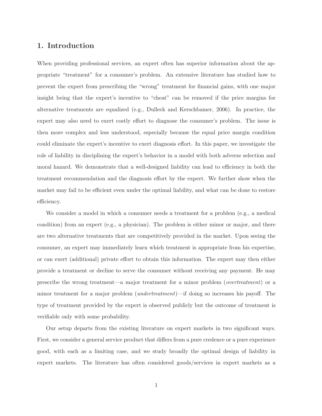# 1. Introduction

When providing professional services, an expert often has superior information about the appropriate "treatment" for a consumer's problem. An extensive literature has studied how to prevent the expert from prescribing the "wrong" treatment for financial gains, with one major insight being that the expert's incentive to "cheat" can be removed if the price margins for alternative treatments are equalized (e.g., Dulleck and Kerschbamer, 2006). In practice, the expert may also need to exert costly effort to diagnose the consumer's problem. The issue is then more complex and less understood, especially because the equal price margin condition could eliminate the expert's incentive to exert diagnosis effort. In this paper, we investigate the role of liability in disciplining the expert's behavior in a model with both adverse selection and moral hazard. We demonstrate that a well-designed liability can lead to efficiency in both the treatment recommendation and the diagnosis effort by the expert. We further show when the market may fail to be efficient even under the optimal liability, and what can be done to restore efficiency.

We consider a model in which a consumer needs a treatment for a problem (e.g., a medical condition) from an expert (e.g., a physician). The problem is either minor or major, and there are two alternative treatments that are competitively provided in the market. Upon seeing the consumer, an expert may immediately learn which treatment is appropriate from his expertise, or can exert (additional) private effort to obtain this information. The expert may then either provide a treatment or decline to serve the consumer without receiving any payment. He may prescribe the wrong treatment—a major treatment for a minor problem (overtreatment) or a minor treatment for a major problem (undertreatment)—if doing so increases his payoff. The type of treatment provided by the expert is observed publicly but the outcome of treatment is verifiable only with some probability.

Our setup departs from the existing literature on expert markets in two significant ways. First, we consider a general service product that differs from a pure credence or a pure experience good, with each as a limiting case, and we study broadly the optimal design of liability in expert markets. The literature has often considered goods/services in expert markets as a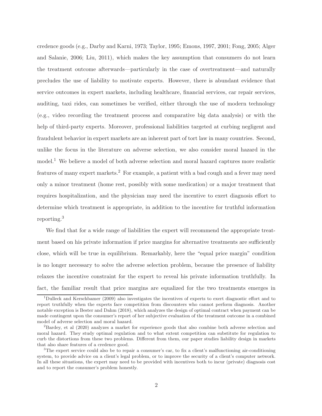credence goods (e.g., Darby and Karni, 1973; Taylor, 1995; Emons, 1997, 2001; Fong, 2005; Alger and Salanie, 2006; Liu, 2011), which makes the key assumption that consumers do not learn the treatment outcome afterwards—particularly in the case of overtreatment—and naturally precludes the use of liability to motivate experts. However, there is abundant evidence that service outcomes in expert markets, including healthcare, financial services, car repair services, auditing, taxi rides, can sometimes be verified, either through the use of modern technology (e.g., video recording the treatment process and comparative big data analysis) or with the help of third-party experts. Moreover, professional liabilities targeted at curbing negligent and fraudulent behavior in expert markets are an inherent part of tort law in many countries. Second, unlike the focus in the literature on adverse selection, we also consider moral hazard in the model.<sup>1</sup> We believe a model of both adverse selection and moral hazard captures more realistic features of many expert markets.<sup>2</sup> For example, a patient with a bad cough and a fever may need only a minor treatment (home rest, possibly with some medication) or a major treatment that requires hospitalization, and the physician may need the incentive to exert diagnosis effort to determine which treatment is appropriate, in addition to the incentive for truthful information reporting.<sup>3</sup>

We find that for a wide range of liabilities the expert will recommend the appropriate treatment based on his private information if price margins for alternative treatments are sufficiently close, which will be true in equilibrium. Remarkably, here the "equal price margin" condition is no longer necessary to solve the adverse selection problem, because the presence of liability relaxes the incentive constraint for the expert to reveal his private information truthfully. In fact, the familiar result that price margins are equalized for the two treatments emerges in

<sup>1</sup>Dulleck and Kerschbamer (2009) also investigates the incentives of experts to exert diagnostic effort and to report truthfully when the experts face competition from discounters who cannot perform diagnosis. Another notable exception is Bester and Dahm (2018), which analyzes the design of optimal contract when payment can be made contingent upon the consumer's report of her subjective evaluation of the treatment outcome in a combined model of adverse selection and moral hazard.

<sup>2</sup>Bardey, et al (2020) analyzes a market for experience goods that also combine both adverse selection and moral hazard. They study optimal regulation and to what extent competition can substitute for regulation to curb the distortions from these two problems. Different from them, our paper studies liability design in markets that also share features of a credence good.

<sup>3</sup>The expert service could also be to repair a consumer's car, to fix a client's malfunctioning air-conditioning system, to provide advice on a client's legal problem, or to improve the security of a client's computer network. In all these situations, the expert may need to be provided with incentives both to incur (private) diagnosis cost and to report the consumer's problem honestly.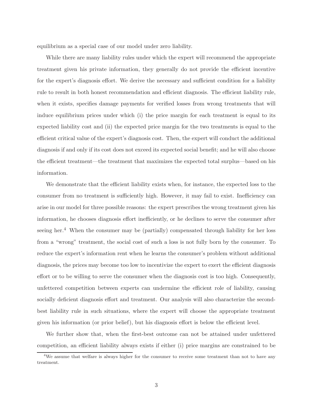equilibrium as a special case of our model under zero liability.

While there are many liability rules under which the expert will recommend the appropriate treatment given his private information, they generally do not provide the efficient incentive for the expert's diagnosis effort. We derive the necessary and sufficient condition for a liability rule to result in both honest recommendation and efficient diagnosis. The efficient liability rule, when it exists, specifies damage payments for verified losses from wrong treatments that will induce equilibrium prices under which (i) the price margin for each treatment is equal to its expected liability cost and (ii) the expected price margin for the two treatments is equal to the efficient critical value of the expert's diagnosis cost. Then, the expert will conduct the additional diagnosis if and only if its cost does not exceed its expected social benefit; and he will also choose the efficient treatment—the treatment that maximizes the expected total surplus—based on his information.

We demonstrate that the efficient liability exists when, for instance, the expected loss to the consumer from no treatment is sufficiently high. However, it may fail to exist. Inefficiency can arise in our model for three possible reasons: the expert prescribes the wrong treatment given his information, he chooses diagnosis effort inefficiently, or he declines to serve the consumer after seeing her.<sup>4</sup> When the consumer may be (partially) compensated through liability for her loss from a "wrong" treatment, the social cost of such a loss is not fully born by the consumer. To reduce the expert's information rent when he learns the consumer's problem without additional diagnosis, the prices may become too low to incentivize the expert to exert the efficient diagnosis effort or to be willing to serve the consumer when the diagnosis cost is too high. Consequently, unfettered competition between experts can undermine the efficient role of liability, causing socially deficient diagnosis effort and treatment. Our analysis will also characterize the secondbest liability rule in such situations, where the expert will choose the appropriate treatment given his information (or prior belief), but his diagnosis effort is below the efficient level.

We further show that, when the first-best outcome can not be attained under unfettered competition, an efficient liability always exists if either (i) price margins are constrained to be

<sup>&</sup>lt;sup>4</sup>We assume that welfare is always higher for the consumer to receive some treatment than not to have any treatment.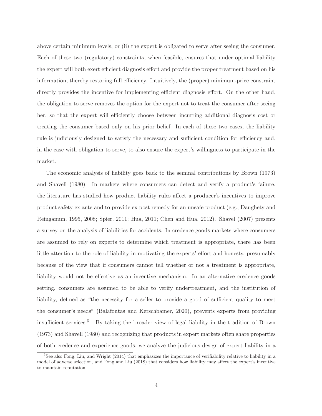above certain minimum levels, or (ii) the expert is obligated to serve after seeing the consumer. Each of these two (regulatory) constraints, when feasible, ensures that under optimal liability the expert will both exert efficient diagnosis effort and provide the proper treatment based on his information, thereby restoring full efficiency. Intuitively, the (proper) minimum-price constraint directly provides the incentive for implementing efficient diagnosis effort. On the other hand, the obligation to serve removes the option for the expert not to treat the consumer after seeing her, so that the expert will efficiently choose between incurring additional diagnosis cost or treating the consumer based only on his prior belief. In each of these two cases, the liability rule is judiciously designed to satisfy the necessary and sufficient condition for efficiency and, in the case with obligation to serve, to also ensure the expert's willingness to participate in the market.

The economic analysis of liability goes back to the seminal contributions by Brown (1973) and Shavell (1980). In markets where consumers can detect and verify a product's failure, the literature has studied how product liability rules affect a producer's incentives to improve product safety ex ante and to provide ex post remedy for an unsafe product (e.g., Daughety and Reinganum, 1995, 2008; Spier, 2011; Hua, 2011; Chen and Hua, 2012). Shavel (2007) presents a survey on the analysis of liabilities for accidents. In credence goods markets where consumers are assumed to rely on experts to determine which treatment is appropriate, there has been little attention to the role of liability in motivating the experts' effort and honesty, presumably because of the view that if consumers cannot tell whether or not a treatment is appropriate, liability would not be effective as an incentive mechanism. In an alternative credence goods setting, consumers are assumed to be able to verify undertreatment, and the institution of liability, defined as "the necessity for a seller to provide a good of sufficient quality to meet the consumer's needs" (Balafoutas and Kerschbamer, 2020), prevents experts from providing insufficient services.<sup>5</sup> By taking the broader view of legal liability in the tradition of Brown (1973) and Shavell (1980) and recognizing that products in expert markets often share properties of both credence and experience goods, we analyze the judicious design of expert liability in a

<sup>&</sup>lt;sup>5</sup>See also Fong, Liu, and Wright (2014) that emphasizes the importance of verifiability relative to liability in a model of adverse selection, and Fong and Liu (2018) that considers how liability may affect the expert's incentive to maintain reputation.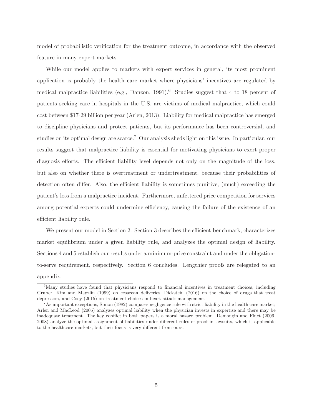model of probabilistic verification for the treatment outcome, in accordance with the observed feature in many expert markets.

While our model applies to markets with expert services in general, its most prominent application is probably the health care market where physicians' incentives are regulated by medical malpractice liabilities (e.g., Danzon, 1991).<sup>6</sup> Studies suggest that 4 to 18 percent of patients seeking care in hospitals in the U.S. are victims of medical malpractice, which could cost between \$17-29 billion per year (Arlen, 2013). Liability for medical malpractice has emerged to discipline physicians and protect patients, but its performance has been controversial, and studies on its optimal design are scarce.<sup>7</sup> Our analysis sheds light on this issue. In particular, our results suggest that malpractice liability is essential for motivating physicians to exert proper diagnosis efforts. The efficient liability level depends not only on the magnitude of the loss, but also on whether there is overtreatment or undertreatment, because their probabilities of detection often differ. Also, the efficient liability is sometimes punitive, (much) exceeding the patient's loss from a malpractice incident. Furthermore, unfettered price competition for services among potential experts could undermine efficiency, causing the failure of the existence of an efficient liability rule.

We present our model in Section 2. Section 3 describes the efficient benchmark, characterizes market equilibrium under a given liability rule, and analyzes the optimal design of liability. Sections 4 and 5 establish our results under a minimum-price constraint and under the obligationto-serve requirement, respectively. Section 6 concludes. Lengthier proofs are relegated to an appendix.

 ${}^{6}$ Many studies have found that physicians respond to financial incentives in treatment choices, including Gruber, Kim and Mayzlin (1999) on cesarean deliveries, Dickstein (2016) on the choice of drugs that treat depression, and Coey (2015) on treatment choices in heart attack management.

 $^7$ As important exceptions, Simon (1982) compares negligence rule with strict liability in the health care market; Arlen and MacLeod (2005) analyzes optimal liability when the physician invests in expertise and there may be inadequate treatment. The key conflict in both papers is a moral hazard problem. Demougin and Fluet (2006, 2008) analyze the optimal assignment of liabilities under different rules of proof in lawsuits, which is applicable to the healthcare markets, but their focus is very different from ours.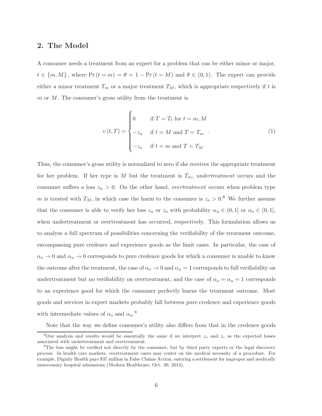# 2. The Model

A consumer needs a treatment from an expert for a problem that can be either minor or major,  $t \in \{m, M\}$ , where  $Pr(t = m) = \theta = 1 - Pr(t = M)$  and  $\theta \in (0, 1)$ . The expert can provide either a minor treatment  $T_m$  or a major treatment  $T_M$ , which is appropriate respectively if t is  $m$  or  $M$ . The consumer's gross utility from the treatment is

$$
v(t,T) = \begin{cases} 0 & \text{if } T = T_t \text{ for } t = m, M \\ -z_u & \text{if } t = M \text{ and } T = T_m \\ -z_o & \text{if } t = m \text{ and } T = T_M \end{cases}
$$
(1)

Thus, the consumer's gross utility is normalized to zero if she receives the appropriate treatment for her problem. If her type is M but the treatment is  $T_m$ , undertreatment occurs and the consumer suffers a loss  $z_u > 0$ . On the other hand, *overtreatment* occurs when problem type m is treated with  $T_M$ , in which case the harm to the consumer is  $z_o > 0.8$  We further assume that the consumer is able to verify her loss  $z_u$  or  $z_o$  with probability  $\alpha_u \in (0,1]$  or  $\alpha_o \in (0,1]$ , when undertreatment or overtreatment has occurred, respectively. This formulation allows us to analyze a full spectrum of possibilities concerning the verifiability of the treatment outcome, encompassing pure credence and experience goods as the limit cases. In particular, the case of  $\alpha_o \to 0$  and  $\alpha_u \to 0$  corresponds to pure credence goods for which a consumer is unable to know the outcome after the treatment, the case of  $\alpha_o \to 0$  and  $\alpha_u = 1$  corresponds to full verifiability on undertreatment but no verifiability on overtreatment, and the case of  $\alpha_o = \alpha_u = 1$  corresponds to an experience good for which the consumer perfectly learns the treatment outcome. Most goods and services in expert markets probably fall between pure credence and experience goods with intermediate values of  $\alpha_o$  and  $\alpha_u$ .<sup>9</sup>

Note that the way we define consumer's utility also differs from that in the credence goods

<sup>&</sup>lt;sup>8</sup>Our analysis and results would be essentially the same if we interpret  $z_u$  and  $z_o$  as the expected losses associated with undertreatment and overtreatment.

 $9$ The loss might be verified not directly by the consumer, but by third party experts or the legal discovery process. In health care markets, overtreatment cases may center on the medical necessity of a procedure. For example, Dignity Health pays \$37 million in False Claims Action, entering a settlement for improper and medically unnecessary hospital admissions (Modern Healthcare, Oct. 30, 2014).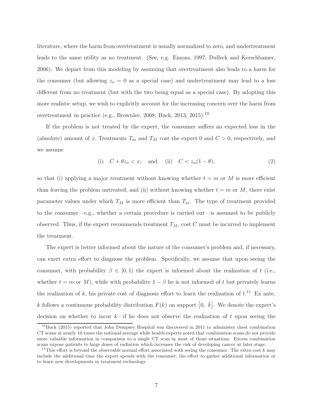literature, where the harm from overtreatment is usually normalized to zero, and undertreatment leads to the same utility as no treatment. (See, e.g. Emons, 1997; Dulleck and Kerschbamer, 2006). We depart from this modeling by assuming that overtreatment also leads to a harm for the consumer (but allowing  $z_o = 0$  as a special case) and undertreatment may lead to a loss different from no treatment (but with the two being equal as a special case). By adopting this more realistic setup, we wish to explicitly account for the increasing concern over the harm from overtreatment in practice (e.g., Brownlee, 2008; Buck, 2013, 2015).<sup>10</sup>

If the problem is not treated by the expert, the consumer suffers an expected loss in the (absolute) amount of x. Treatments  $T_m$  and  $T_M$  cost the expert 0 and  $C > 0$ , respectively, and we assume

(i) 
$$
C + \theta z_o < x
$$
, and (ii)  $C < z_u(1 - \theta)$ , (2)

so that (i) applying a major treatment without knowing whether  $t = m$  or M is more efficient than leaving the problem untreated, and (ii) without knowing whether  $t = m$  or M, there exist parameter values under which  $T_M$  is more efficient than  $T_m$ . The type of treatment provided to the consumer—e.g., whether a certain procedure is carried out—is assumed to be publicly observed. Thus, if the expert recommends treatment  $T_M$ , cost C must be incurred to implement the treatment.

The expert is better informed about the nature of the consumer's problem and, if necessary, can exert extra effort to diagnose the problem. Specifically, we assume that upon seeing the consumer, with probability  $\beta \in [0, 1)$  the expert is informed about the realization of t (i.e., whether  $t = m$  or M), while with probability  $1 - \beta$  he is not informed of t but privately learns the realization of k, his private cost of diagnosis effort to learn the realization of  $t$ .<sup>11</sup> Ex ante, k follows a continuous probability distribution  $F(k)$  on support  $[0, \bar{k}]$ . We denote the expert's decision on whether to incur  $k$ —if he does not observe the realization of t upon seeing the

 $10Buck$  (2015) reported that John Dempsey Hospital was discovered in 2011 to administer chest combination CT scans at nearly 10 times the national average while health experts noted that combination scans do not provide more valuable information in comparison to a single CT scan in most of those situations. Excess combination scans expose patients to large doses of radiation which increases the risk of developing cancer at later stage.

<sup>&</sup>lt;sup>11</sup>This effort is beyond the observable normal effort associated with seeing the consumer. The extra cost  $k$  may include the additional time the expert spends with the consumer, the effort to gather additional information or to learn new developments in treatment technology.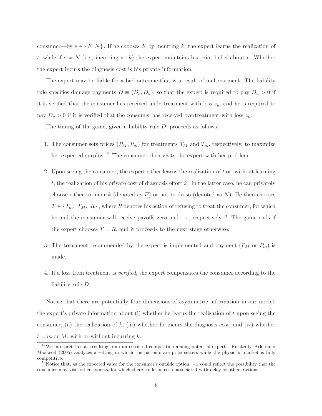consumer—by  $e \in \{E, N\}$ . If he chooses E by incurring k, the expert learns the realization of t, while if  $e = N$  (i.e., incurring no k) the expert maintains his prior belief about t. Whether the expert incurs the diagnosis cost is his private information.

The expert may be liable for a bad outcome that is a result of maltreatment. The liability rule specifies damage payments  $D \equiv (D_o, D_u)$ , so that the expert is required to pay  $D_u > 0$  if it is verified that the consumer has received undertreatment with loss  $z_u$ , and he is required to pay  $D<sub>o</sub> > 0$  if it is verified that the consumer has received overtreatment with loss  $z<sub>o</sub>$ .

The timing of the game, given a liability rule D, proceeds as follows:

- 1. The consumer sets prices  $(P_M, P_m)$  for treatments  $T_M$  and  $T_m$ , respectively, to maximize her expected surplus.<sup>12</sup> The consumer then visits the expert with her problem.
- 2. Upon seeing the consumer, the expert either learns the realization of  $t$  or, without learning t, the realization of his private cost of diagnosis effort  $k$ . In the latter case, he can privately choose either to incur k (denoted as E) or not to do so (denoted as N). He then chooses  $T \in \{T_m, T_M, R\}$ , where R denotes his action of refusing to treat the consumer, for which he and the consumer will receive payoffs zero and  $-x$ , respectively.<sup>13</sup> The game ends if the expert chooses  $T = R$ , and it proceeds to the next stage otherwise.
- 3. The treatment recommended by the expert is implemented and payment  $(P_M \text{ or } P_m)$  is made.
- 4. If a loss from treatment is verified, the expert compensates the consumer according to the liability rule D.

Notice that there are potentially four dimensions of asymmetric information in our model: the expert's private information about (i) whether he learns the realization of  $t$  upon seeing the consumer, (ii) the realization of  $k$ , (iii) whether he incurs the diagnosis cost, and (iv) whether  $t = m$  or M, with or without incurring k.

<sup>&</sup>lt;sup>12</sup>We interpret this as resulting from unrestricted competition among potential experts. Relatedly, Arlen and MacLeod (2005) analyzes a setting in which the patients are price setters while the physician market is fully competitive.

<sup>&</sup>lt;sup>13</sup>Notice that, as the expected value for the consumer's outside option,  $-x$  could reflect the possibility that the consumer may visit other experts, for which there could be costs associated with delay or other frictions.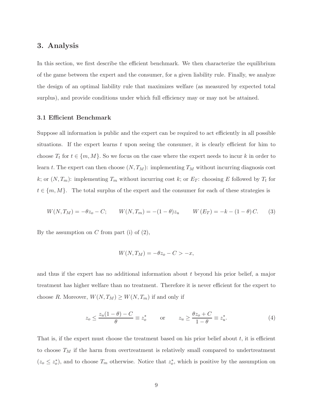# 3. Analysis

In this section, we first describe the efficient benchmark. We then characterize the equilibrium of the game between the expert and the consumer, for a given liability rule. Finally, we analyze the design of an optimal liability rule that maximizes welfare (as measured by expected total surplus), and provide conditions under which full efficiency may or may not be attained.

#### 3.1 Efficient Benchmark

Suppose all information is public and the expert can be required to act efficiently in all possible situations. If the expert learns  $t$  upon seeing the consumer, it is clearly efficient for him to choose  $T_t$  for  $t \in \{m, M\}$ . So we focus on the case where the expert needs to incur k in order to learn t. The expert can then choose  $(N, T_M)$ : implementing  $T_M$  without incurring diagnosis cost k; or  $(N, T_m)$ : implementing  $T_m$  without incurring cost k; or  $E_T$ : choosing E followed by  $T_t$  for  $t \in \{m, M\}$ . The total surplus of the expert and the consumer for each of these strategies is

$$
W(N,T_M) = -\theta z_0 - C; \qquad W(N,T_m) = -(1-\theta)z_u \qquad W(E_T) = -k - (1-\theta)C. \tag{3}
$$

By the assumption on  $C$  from part (i) of  $(2)$ ,

$$
W(N,T_M) = -\theta z_o - C > -x,
$$

and thus if the expert has no additional information about t beyond his prior belief, a major treatment has higher welfare than no treatment. Therefore it is never efficient for the expert to choose R. Moreover,  $W(N, T_M) \ge W(N, T_m)$  if and only if

$$
z_o \le \frac{z_u(1-\theta)-C}{\theta} \equiv z_o^* \qquad \text{or} \qquad z_u \ge \frac{\theta z_o + C}{1-\theta} \equiv z_u^*.
$$
 (4)

That is, if the expert must choose the treatment based on his prior belief about  $t$ , it is efficient to choose  $T_M$  if the harm from overtreatment is relatively small compared to undertreatment  $(z_0 \leq z_0^*)$ , and to choose  $T_m$  otherwise. Notice that  $z_0^*$ , which is positive by the assumption on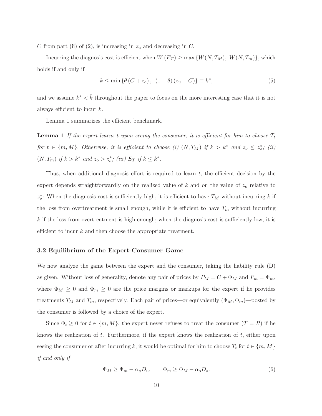C from part (ii) of (2), is increasing in  $z_u$  and decreasing in C.

Incurring the diagnosis cost is efficient when  $W(E_T) \ge \max \{W(N,T_M), W(N,T_m)\}\,$ , which holds if and only if

$$
k \le \min\left\{\theta\left(C+z_o\right), \ \left(1-\theta\right)\left(z_u - C\right)\right\} \equiv k^*,\tag{5}
$$

and we assume  $k^* < \bar{k}$  throughout the paper to focus on the more interesting case that it is not always efficient to incur k.

Lemma 1 summarizes the efficient benchmark.

**Lemma 1** If the expert learns t upon seeing the consumer, it is efficient for him to choose  $T_t$ for  $t \in \{m, M\}$ . Otherwise, it is efficient to choose (i)  $(N, T_M)$  if  $k > k^*$  and  $z_o \leq z_o^*$ ; (ii)  $(N, T_m)$  if  $k > k^*$  and  $z_o > z_o^*$ ; (iii)  $E_T$  if  $k \leq k^*$ .

Thus, when additional diagnosis effort is required to learn  $t$ , the efficient decision by the expert depends straightforwardly on the realized value of k and on the value of  $z<sub>o</sub>$  relative to  $z_o^*$ : When the diagnosis cost is sufficiently high, it is efficient to have  $T_M$  without incurring k if the loss from overtreatment is small enough, while it is efficient to have  $T_m$  without incurring  $k$  if the loss from overtreatment is high enough; when the diagnosis cost is sufficiently low, it is efficient to incur  $k$  and then choose the appropriate treatment.

#### 3.2 Equilibrium of the Expert-Consumer Game

We now analyze the game between the expert and the consumer, taking the liability rule (D) as given. Without loss of generality, denote any pair of prices by  $P_M = C + \Phi_M$  and  $P_m = \Phi_m$ , where  $\Phi_M \geq 0$  and  $\Phi_m \geq 0$  are the price margins or markups for the expert if he provides treatments  $T_M$  and  $T_m$ , respectively. Each pair of prices—or equivalently  $(\Phi_M, \Phi_m)$ —posted by the consumer is followed by a choice of the expert.

Since  $\Phi_t \geq 0$  for  $t \in \{m, M\}$ , the expert never refuses to treat the consumer  $(T = R)$  if he knows the realization of  $t$ . Furthermore, if the expert knows the realization of  $t$ , either upon seeing the consumer or after incurring k, it would be optimal for him to choose  $T_t$  for  $t \in \{m, M\}$ if and only if

$$
\Phi_M \ge \Phi_m - \alpha_u D_u, \qquad \Phi_m \ge \Phi_M - \alpha_o D_o. \tag{6}
$$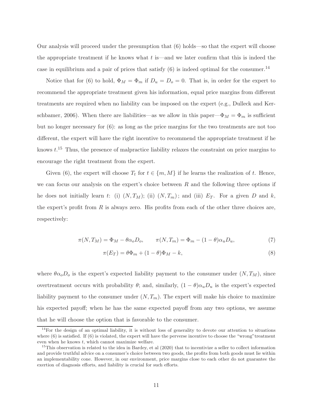Our analysis will proceed under the presumption that (6) holds—so that the expert will choose the appropriate treatment if he knows what  $t$  is—and we later confirm that this is indeed the case in equilibrium and a pair of prices that satisfy  $(6)$  is indeed optimal for the consumer.<sup>14</sup>

Notice that for (6) to hold,  $\Phi_M = \Phi_m$  if  $D_u = D_o = 0$ . That is, in order for the expert to recommend the appropriate treatment given his information, equal price margins from different treatments are required when no liability can be imposed on the expert (e.g., Dulleck and Kerschbamer, 2006). When there are liabilities—as we allow in this paper— $\Phi_M = \Phi_m$  is sufficient but no longer necessary for (6): as long as the price margins for the two treatments are not too different, the expert will have the right incentive to recommend the appropriate treatment if he knows  $t.^{15}$  Thus, the presence of malpractice liability relaxes the constraint on price margins to encourage the right treatment from the expert.

Given (6), the expert will choose  $T_t$  for  $t \in \{m, M\}$  if he learns the realization of t. Hence, we can focus our analysis on the expert's choice between  $R$  and the following three options if he does not initially learn t: (i)  $(N, T_M)$ ; (ii)  $(N, T_m)$ ; and (iii)  $E_T$ . For a given D and k, the expert's profit from  $R$  is always zero. His profits from each of the other three choices are, respectively:

$$
\pi(N,T_M) = \Phi_M - \theta \alpha_o D_o, \qquad \pi(N,T_m) = \Phi_m - (1-\theta)\alpha_u D_u, \tag{7}
$$

$$
\pi(E_T) = \theta \Phi_m + (1 - \theta)\Phi_M - k,\tag{8}
$$

where  $\theta \alpha_o D_o$  is the expert's expected liability payment to the consumer under  $(N, T_M)$ , since overtreatment occurs with probability  $\theta$ ; and, similarly,  $(1 - \theta)\alpha_u D_u$  is the expert's expected liability payment to the consumer under  $(N, T_m)$ . The expert will make his choice to maximize his expected payoff; when he has the same expected payoff from any two options, we assume that he will choose the option that is favorable to the consumer.

 $14$ For the design of an optimal liability, it is without loss of generality to devote our attention to situations where  $(6)$  is satisfied. If  $(6)$  is violated, the expert will have the perverse incentive to choose the "wrong" treatment even when he knows t, which cannot maximize welfare.

 $15$ This observation is related to the idea in Bardey, et al  $(2020)$  that to incentivize a seller to collect information and provide truthful advice on a consumer's choice between two goods, the profits from both goods must lie within an implementability cone. However, in our environment, price margins close to each other do not guarantee the exertion of diagnosis efforts, and liability is crucial for such efforts.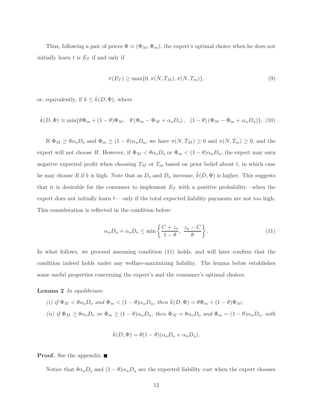Thus, following a pair of prices  $\Phi \equiv (\Phi_M, \Phi_m)$ , the expert's optimal choice when he does not initially learn  $t$  is  $E_T$  if and only if

$$
\pi(E_T) \ge \max\{0, \pi(N, T_M), \pi(N, T_m)\},\tag{9}
$$

or, equivalently, if  $k \leq \hat{k}(D, \Phi)$ , where

$$
\hat{k}(D,\Phi) \equiv \min\{\theta\Phi_m + (1-\theta)\Phi_M, \quad \theta(\Phi_m - \Phi_M + \alpha_o D_o), \quad (1-\theta)(\Phi_M - \Phi_m + \alpha_u D_u)\}.
$$
 (10)

If  $\Phi_M \geq \theta \alpha_o D_o$  and  $\Phi_m \geq (1 - \theta) \alpha_u D_u$ , we have  $\pi(N, T_M) \geq 0$  and  $\pi(N, T_m) \geq 0$ , and the expert will not choose R. However, if  $\Phi_M < \theta \alpha_o D_o$  or  $\Phi_m < (1 - \theta) \alpha_u D_u$ , the expert may earn negative expected profit when choosing  $T_M$  or  $T_m$  based on prior belief about t, in which case he may choose R if k is high. Note that as  $D_o$  and  $D_u$  increase,  $\hat{k}(D, \Phi)$  is higher. This suggests that it is desirable for the consumer to implement  $E_T$  with a positive probability—when the expert does not initially learn  $t$ — only if the total expected liability payments are not too high. This consideration is reflected in the condition below:

$$
\alpha_u D_u + \alpha_o D_o \le \min \left\{ \frac{C + z_o}{1 - \theta}, \frac{z_u - C}{\theta} \right\}.
$$
\n(11)

In what follows, we proceed assuming condition (11) holds, and will later confirm that the condition indeed holds under any welfare-maximizing liability. The lemma below establishes some useful properties concerning the expert's and the consumer's optimal choices.

#### Lemma 2 In equilibrium:

\n- (i) if 
$$
\Phi_M < \theta \alpha_o D_o
$$
 and  $\Phi_m < (1 - \theta) \alpha_u D_u$ , then  $\hat{k}(D, \Phi) = \theta \Phi_m + (1 - \theta) \Phi_M$ ;
\n- (ii) if  $\Phi_M \geq \theta \alpha_o D_o$  or  $\Phi_m \geq (1 - \theta) \alpha_u D_u$ , then  $\Phi_M = \theta \alpha_o D_o$  and  $\Phi_m = (1 - \theta) \alpha_u D_u$ , with
\n

$$
\hat{k}(D,\Phi) = \theta(1-\theta)(\alpha_o D_o + \alpha_u D_u).
$$

**Proof.** See the appendix. ■

Notice that  $\theta \alpha_o D_o$  and  $(1 - \theta) \alpha_u D_u$  are the expected liability cost when the expert chooses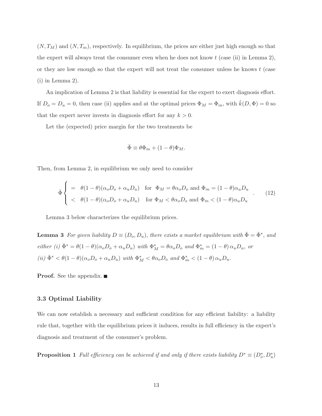$(N, T_M)$  and  $(N, T_m)$ , respectively. In equilibrium, the prices are either just high enough so that the expert will always treat the consumer even when he does not know  $t$  (case (ii) in Lemma 2), or they are low enough so that the expert will not treat the consumer unless he knows  $t$  (case (i) in Lemma 2).

An implication of Lemma 2 is that liability is essential for the expert to exert diagnosis effort. If  $D_o = D_u = 0$ , then case (ii) applies and at the optimal prices  $\Phi_M = \Phi_m$ , with  $\hat{k}(D, \Phi) = 0$  so that the expert never invests in diagnosis effort for any  $k > 0$ .

Let the (expected) price margin for the two treatments be

$$
\bar{\Phi} \equiv \theta \Phi_m + (1 - \theta) \Phi_M.
$$

Then, from Lemma 2, in equilibrium we only need to consider

$$
\bar{\Phi}\begin{cases} = & \theta(1-\theta)(\alpha_o D_o + \alpha_u D_u) \quad \text{for} \quad \Phi_M = \theta \alpha_o D_o \text{ and } \Phi_m = (1-\theta)\alpha_u D_u \\ < & \theta(1-\theta)(\alpha_o D_o + \alpha_u D_u) \quad \text{for} \quad \Phi_M < \theta \alpha_o D_o \text{ and } \Phi_m < (1-\theta)\alpha_u D_u \end{cases} (12)
$$

Lemma 3 below characterizes the equilibrium prices.

**Lemma 3** For given liability  $D \equiv (D_o, D_u)$ , there exists a market equilibrium with  $\bar{\Phi} = \bar{\Phi}^*$ , and  $either (i) \ \bar{\Phi}^* = \theta (1 - \theta)(\alpha_o D_o + \alpha_u D_u)$  with  $\Phi_M^* = \theta \alpha_o D_o$  and  $\Phi_m^* = (1 - \theta) \alpha_u D_u$ , or (ii)  $\bar{\Phi}^* < \theta (1-\theta)(\alpha_o D_o + \alpha_u D_u)$  with  $\Phi_M^* < \theta \alpha_o D_o$  and  $\Phi_m^* < (1-\theta) \alpha_u D_u$ .

**Proof.** See the appendix.  $\blacksquare$ 

#### 3.3 Optimal Liability

We can now establish a necessary and sufficient condition for any efficient liability: a liability rule that, together with the equilibrium prices it induces, results in full efficiency in the expert's diagnosis and treatment of the consumer's problem.

**Proposition 1** Full efficiency can be achieved if and only if there exists liability  $D^* \equiv (D_o^*, D_u^*)$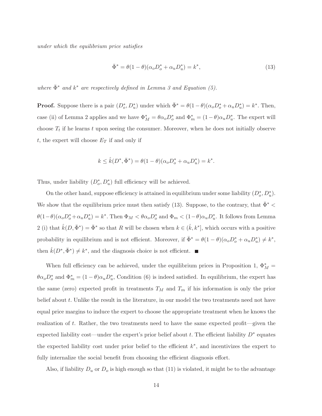under which the equilibrium price satisfies

$$
\bar{\Phi}^* = \theta(1 - \theta)(\alpha_o D_o^* + \alpha_u D_u^*) = k^*,
$$
\n(13)

where  $\bar{\Phi}^*$  and  $k^*$  are respectively defined in Lemma 3 and Equation (5).

**Proof.** Suppose there is a pair  $(D_o^*, D_u^*)$  under which  $\bar{\Phi}^* = \theta(1-\theta)(\alpha_o D_o^* + \alpha_u D_u^*) = k^*$ . Then, case (ii) of Lemma 2 applies and we have  $\Phi_M^* = \theta \alpha_o D_o^*$  and  $\Phi_m^* = (1 - \theta) \alpha_u D_u^*$ . The expert will choose  $T_t$  if he learns t upon seeing the consumer. Moreover, when he does not initially observe t, the expert will choose  $E_T$  if and only if

$$
k \leq \hat{k}(D^*, \bar{\Phi}^*) = \theta(1 - \theta)(\alpha_o D_o^* + \alpha_u D_u^*) = k^*.
$$

Thus, under liability  $(D_o^*, D_u^*)$  full efficiency will be achieved.

On the other hand, suppose efficiency is attained in equilibrium under some liability  $(D_o^*, D_u^*)$ . We show that the equilibrium price must then satisfy (13). Suppose, to the contrary, that  $\Phi^*$  <  $\theta(1-\theta)(\alpha_o D_o^* + \alpha_u D_u^*) = k^*$ . Then  $\Phi_M < \theta \alpha_o D_o^*$  and  $\Phi_m < (1-\theta)\alpha_u D_u^*$ . It follows from Lemma 2 (i) that  $\hat{k}(D, \bar{\Phi}^*) = \bar{\Phi}^*$  so that R will be chosen when  $k \in (\hat{k}, k^*]$ , which occurs with a positive probability in equilibrium and is not efficient. Moreover, if  $\bar{\Phi}^* = \theta(1-\theta)(\alpha_o D_o^* + \alpha_u D_u^*) \neq k^*$ , then  $\hat{k}(D^*, \bar{\Phi}^*) \neq k^*$ , and the diagnosis choice is not efficient.

When full efficiency can be achieved, under the equilibrium prices in Proposition 1,  $\Phi_M^*$  =  $\theta \alpha_o D_o^*$  and  $\Phi_m^* = (1 - \theta) \alpha_u D_u^*$ , Condition (6) is indeed satisfied. In equilibrium, the expert has the same (zero) expected profit in treatments  $T_M$  and  $T_m$  if his information is only the prior belief about t. Unlike the result in the literature, in our model the two treatments need not have equal price margins to induce the expert to choose the appropriate treatment when he knows the realization of t. Rather, the two treatments need to have the same expected profit—given the expected liability cost—under the expert's prior belief about t. The efficient liability  $D^*$  equates the expected liability cost under prior belief to the efficient  $k^*$ , and incentivizes the expert to fully internalize the social benefit from choosing the efficient diagnosis effort.

Also, if liability  $D_u$  or  $D_o$  is high enough so that (11) is violated, it might be to the advantage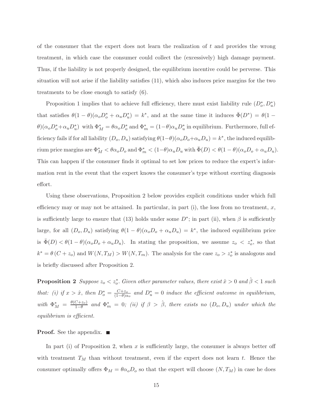of the consumer that the expert does not learn the realization of  $t$  and provides the wrong treatment, in which case the consumer could collect the (excessively) high damage payment. Thus, if the liability is not properly designed, the equilibrium incentive could be perverse. This situation will not arise if the liability satisfies (11), which also induces price margins for the two treatments to be close enough to satisfy (6).

Proposition 1 implies that to achieve full efficiency, there must exist liability rule  $(D_o^*, D_u^*)$ that satisfies  $\theta(1-\theta)(\alpha_o D_o^* + \alpha_u D_u^*) = k^*$ , and at the same time it induces  $\bar{\Phi}(D^*) = \theta(1-\theta)$  $\theta$ )( $\alpha_o D_o^* + \alpha_u D_u^*$ ) with  $\Phi_M^* = \theta \alpha_o D_o^*$  and  $\Phi_m^* = (1 - \theta) \alpha_u D_u^*$  in equilibrium. Furthermore, full efficiency fails if for all liability  $(D_o, D_u)$  satisfying  $\theta(1-\theta)(\alpha_o D_o + \alpha_u D_u) = k^*$ , the induced equilibrium price margins are  $\Phi_M^* < \theta \alpha_o D_o$  and  $\Phi_m^* < (1-\theta)\alpha_u D_u$  with  $\bar{\Phi}(D) < \theta(1-\theta)(\alpha_o D_o + \alpha_u D_u)$ . This can happen if the consumer finds it optimal to set low prices to reduce the expert's information rent in the event that the expert knows the consumer's type without exerting diagnosis effort.

Using these observations, Proposition 2 below provides explicit conditions under which full efficiency may or may not be attained. In particular, in part (i), the loss from no treatment, x, is sufficiently large to ensure that (13) holds under some  $D^*$ ; in part (ii), when  $\beta$  is sufficiently large, for all  $(D_o, D_u)$  satisfying  $\theta(1-\theta)(\alpha_o D_o + \alpha_u D_u) = k^*$ , the induced equilibrium price is  $\bar{\Phi}(D) < \theta(1-\theta)(\alpha_o D_o + \alpha_u D_u)$ . In stating the proposition, we assume  $z_o < z_o^*$ , so that  $k^* = \theta(C + z_o)$  and  $W(N, T_M) > W(N, T_m)$ . The analysis for the case  $z_o > z_o^*$  is analogous and is briefly discussed after Proposition 2.

**Proposition 2** Suppose  $z_o < z_o^*$ . Given other parameter values, there exist  $\hat{x} > 0$  and  $\hat{\beta} < 1$  such that: (i) if  $x > \hat{x}$ , then  $D_o^* = \frac{C + z_o}{(1 - \theta) \alpha}$  $\frac{C+z_o}{(1-\theta)\alpha_o}$  and  $D_u^* = 0$  induce the efficient outcome in equilibrium, with  $\Phi_M^* = \frac{\theta(C+z_o)}{1-\theta}$  $\frac{C+z_o}{1-\theta}$  and  $\Phi_m^* = 0$ ; (ii) if  $\beta > \hat{\beta}$ , there exists no  $(D_o, D_u)$  under which the equilibrium is efficient.

#### **Proof.** See the appendix.

In part (i) of Proposition 2, when x is sufficiently large, the consumer is always better off with treatment  $T_M$  than without treatment, even if the expert does not learn t. Hence the consumer optimally offers  $\Phi_M = \theta \alpha_o D_o$  so that the expert will choose  $(N, T_M)$  in case he does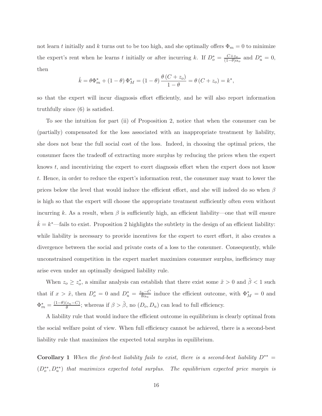not learn t initially and k turns out to be too high, and she optimally offers  $\Phi_m = 0$  to minimize the expert's rent when he learns t initially or after incurring k. If  $D_o^* = \frac{C+z_o}{(1-\theta)a}$  $\frac{C+z_o}{(1-\theta)\alpha_o}$  and  $D_u^* = 0$ , then

$$
\hat{k} = \theta \Phi_m^* + (1 - \theta) \Phi_M^* = (1 - \theta) \frac{\theta (C + z_o)}{1 - \theta} = \theta (C + z_o) = k^*,
$$

so that the expert will incur diagnosis effort efficiently, and he will also report information truthfully since (6) is satisfied.

To see the intuition for part (ii) of Proposition 2, notice that when the consumer can be (partially) compensated for the loss associated with an inappropriate treatment by liability, she does not bear the full social cost of the loss. Indeed, in choosing the optimal prices, the consumer faces the tradeoff of extracting more surplus by reducing the prices when the expert knows  $t$ , and incentivizing the expert to exert diagnosis effort when the expert does not know t. Hence, in order to reduce the expert's information rent, the consumer may want to lower the prices below the level that would induce the efficient effort, and she will indeed do so when  $\beta$ is high so that the expert will choose the appropriate treatment sufficiently often even without incurring k. As a result, when  $\beta$  is sufficiently high, an efficient liability—one that will ensure  $\hat{k} = k^*$  -fails to exist. Proposition 2 highlights the subtlety in the design of an efficient liability: while liability is necessary to provide incentives for the expert to exert effort, it also creates a divergence between the social and private costs of a loss to the consumer. Consequently, while unconstrained competition in the expert market maximizes consumer surplus, inefficiency may arise even under an optimally designed liability rule.

When  $z_0 \geq z_0^*$ , a similar analysis can establish that there exist some  $\tilde{x} > 0$  and  $\tilde{\beta} < 1$  such that if  $x > \tilde{x}$ , then  $D_o^* = 0$  and  $D_u^* = \frac{z_u - C}{\theta \alpha_u}$  induce the efficient outcome, with  $\Phi_M^* = 0$  and  $\Phi_m^* = \frac{(1-\theta)(z_u-C)}{\theta}$  $\frac{(z_u-C)}{\theta}$ ; whereas if  $\beta > \tilde{\beta}$ , no  $(D_o, D_u)$  can lead to full efficiency.

A liability rule that would induce the efficient outcome in equilibrium is clearly optimal from the social welfare point of view. When full efficiency cannot be achieved, there is a second-best liability rule that maximizes the expected total surplus in equilibrium.

Corollary 1 When the first-best liability fails to exist, there is a second-best liability  $D^{**} =$  $(D_o^{**}, D_u^{**})$  that maximizes expected total surplus. The equilibrium expected price margin is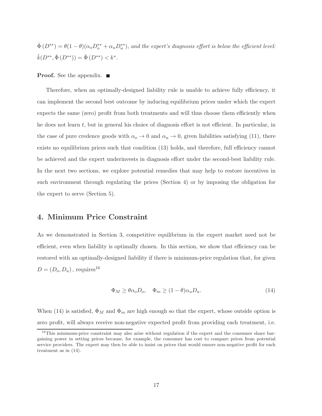$\bar{\Phi}(D^{**}) = \theta(1-\theta)(\alpha_o D_o^{**} + \alpha_u D_u^{**}),$  and the expert's diagnosis effort is below the efficient level:  $\hat{k}(D^{**}, \bar{\Phi}(D^{**})) = \bar{\Phi}(D^{**}) < k^*$ .

**Proof.** See the appendix. ■

Therefore, when an optimally-designed liability rule is unable to achieve fully efficiency, it can implement the second best outcome by inducing equilibrium prices under which the expert expects the same (zero) profit from both treatments and will thus choose them efficiently when he does not learn  $t$ , but in general his choice of diagnosis effort is not efficient. In particular, in the case of pure credence goods with  $\alpha_o \to 0$  and  $\alpha_u \to 0$ , given liabilities satisfying (11), there exists no equilibrium prices such that condition (13) holds, and therefore, full efficiency cannot be achieved and the expert underinvests in diagnosis effort under the second-best liability rule. In the next two sections, we explore potential remedies that may help to restore incentives in such environment through regulating the prices (Section 4) or by imposing the obligation for the expert to serve (Section 5).

# 4. Minimum Price Constraint

As we demonstrated in Section 3, competitive equilibrium in the expert market need not be efficient, even when liability is optimally chosen. In this section, we show that efficiency can be restored with an optimally-designed liability if there is minimum-price regulation that, for given  $D = (D_o, D_u)$ , requires<sup>16</sup>

$$
\Phi_M \ge \theta \alpha_o D_o, \quad \Phi_m \ge (1 - \theta) \alpha_u D_u. \tag{14}
$$

When (14) is satisfied,  $\Phi_M$  and  $\Phi_m$  are high enough so that the expert, whose outside option is zero profit, will always receive non-negative expected profit from providing each treatment, i.e.

 $16$ This minimum-price constraint may also arise without regulation if the expert and the consumer share bargaining power in setting prices because, for example, the consumer has cost to compare prices from potential service providers. The expert may then be able to insist on prices that would ensure non-negative profit for each treatment as in (14).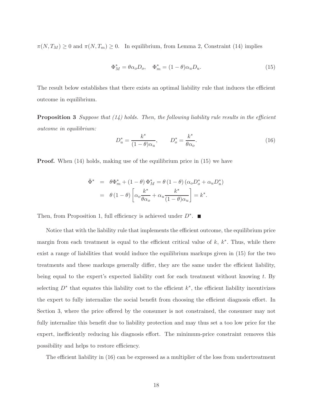$\pi(N, T_M) \geq 0$  and  $\pi(N, T_m) \geq 0$ . In equilibrium, from Lemma 2, Constraint (14) implies

$$
\Phi_M^* = \theta \alpha_o D_o, \quad \Phi_m^* = (1 - \theta) \alpha_u D_u.
$$
\n(15)

The result below establishes that there exists an optimal liability rule that induces the efficient outcome in equilibrium.

**Proposition 3** Suppose that  $(14)$  holds. Then, the following liability rule results in the efficient outcome in equilibrium:

$$
D_u^* = \frac{k^*}{(1-\theta)\alpha_u}, \qquad D_o^* = \frac{k^*}{\theta\alpha_o}.
$$
\n(16)

**Proof.** When (14) holds, making use of the equilibrium price in (15) we have

$$
\begin{array}{rcl}\n\bar{\Phi}^* & = & \theta \Phi_m^* + (1 - \theta) \Phi_M^* = \theta \left( 1 - \theta \right) \left( \alpha_o D_o^* + \alpha_u D_u^* \right) \\
& = & \theta \left( 1 - \theta \right) \left[ \alpha_o \frac{k^*}{\theta \alpha_o} + \alpha_u \frac{k^*}{(1 - \theta) \alpha_u} \right] = k^*. \n\end{array}
$$

Then, from Proposition 1, full efficiency is achieved under  $D^*$ .

Notice that with the liability rule that implements the efficient outcome, the equilibrium price margin from each treatment is equal to the efficient critical value of  $k, k^*$ . Thus, while there exist a range of liabilities that would induce the equilibrium markups given in (15) for the two treatments and these markups generally differ, they are the same under the efficient liability, being equal to the expert's expected liability cost for each treatment without knowing  $t$ . By selecting  $D^*$  that equates this liability cost to the efficient  $k^*$ , the efficient liability incentivizes the expert to fully internalize the social benefit from choosing the efficient diagnosis effort. In Section 3, where the price offered by the consumer is not constrained, the consumer may not fully internalize this benefit due to liability protection and may thus set a too low price for the expert, inefficiently reducing his diagnosis effort. The minimum-price constraint removes this possibility and helps to restore efficiency.

The efficient liability in (16) can be expressed as a multiplier of the loss from undertreatment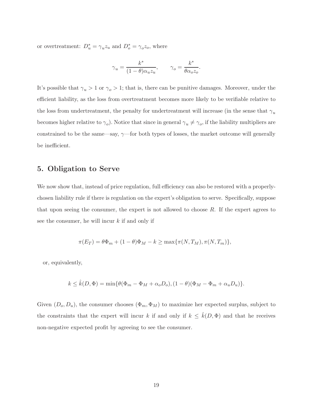or overtreatment:  $D_u^* = \gamma_u z_u$  and  $D_o^* = \gamma_o z_o$ , where

$$
\gamma_u = \frac{k^*}{(1-\theta)\alpha_uz_u}, \qquad \gamma_o = \frac{k^*}{\theta\alpha_o z_o}.
$$

It's possible that  $\gamma_u > 1$  or  $\gamma_o > 1$ ; that is, there can be punitive damages. Moreover, under the efficient liability, as the loss from overtreatment becomes more likely to be verifiable relative to the loss from undertreatment, the penalty for undertreatment will increase (in the sense that  $\gamma_u$ becomes higher relative to  $\gamma_o$ ). Notice that since in general  $\gamma_u \neq \gamma_o$ , if the liability multipliers are constrained to be the same—say,  $\gamma$ —for both types of losses, the market outcome will generally be inefficient.

### 5. Obligation to Serve

We now show that, instead of price regulation, full efficiency can also be restored with a properlychosen liability rule if there is regulation on the expert's obligation to serve. Specifically, suppose that upon seeing the consumer, the expert is not allowed to choose  $R$ . If the expert agrees to see the consumer, he will incur  $k$  if and only if

$$
\pi(E_T) = \theta \Phi_m + (1 - \theta) \Phi_M - k \ge \max\{\pi(N, T_M), \pi(N, T_m)\},\
$$

or, equivalently,

$$
k \leq \hat{k}(D, \Phi) = \min \{ \theta(\Phi_m - \Phi_M + \alpha_o D_o), (1 - \theta)(\Phi_M - \Phi_m + \alpha_u D_u) \}.
$$

Given  $(D_o, D_u)$ , the consumer chooses  $(\Phi_m, \Phi_M)$  to maximize her expected surplus, subject to the constraints that the expert will incur k if and only if  $k \leq \hat{k}(D, \Phi)$  and that he receives non-negative expected profit by agreeing to see the consumer.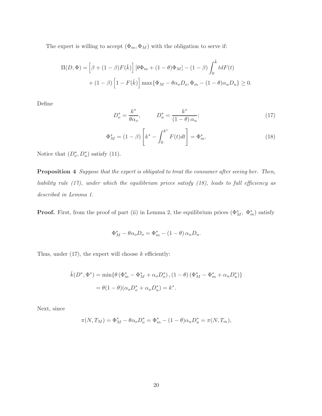The expert is willing to accept  $(\Phi_m, \Phi_M)$  with the obligation to serve if:

$$
\Pi(D, \Phi) = \left[\beta + (1 - \beta)F(\hat{k})\right] \left[\theta\Phi_m + (1 - \theta)\Phi_M\right] - (1 - \beta) \int_0^{\hat{k}} t dF(t)
$$

$$
+ (1 - \beta) \left[1 - F(\hat{k})\right] \max{\Phi_M - \theta\alpha_o D_o, \Phi_m - (1 - \theta)\alpha_u D_u} \ge 0.
$$

Define

$$
D_o^* = \frac{k^*}{\theta \alpha_o}, \qquad D_u^* = \frac{k^*}{(1 - \theta) \alpha_u};\tag{17}
$$

$$
\Phi_M^* = (1 - \beta) \left[ k^* - \int_0^{k^*} F(t) dt \right] = \Phi_m^*.
$$
\n(18)

Notice that  $(D_o^*, D_u^*)$  satisfy (11).

Proposition 4 Suppose that the expert is obligated to treat the consumer after seeing her. Then, liability rule (17), under which the equilibrium prices satisfy (18), leads to full efficiency as described in Lemma 1.

**Proof.** First, from the proof of part (ii) in Lemma 2, the equilibrium prices  $(\Phi_M^*, \Phi_m^*)$  satisfy

$$
\Phi_M^* - \theta \alpha_o D_o = \Phi_m^* - (1 - \theta) \alpha_u D_u.
$$

Thus, under  $(17)$ , the expert will choose k efficiently:

$$
\hat{k}(D^*, \Phi^*) = \min \{ \theta (\Phi_m^* - \Phi_M^* + \alpha_o D_o^*), (1 - \theta) (\Phi_M^* - \Phi_m^* + \alpha_u D_u^*) \}
$$
  
=  $\theta (1 - \theta) (\alpha_o D_o^* + \alpha_u D_u^*) = k^*.$ 

Next, since

$$
\pi(N, T_M) = \Phi_M^* - \theta \alpha_o D_o^* = \Phi_m^* - (1 - \theta) \alpha_u D_u^* = \pi(N, T_m),
$$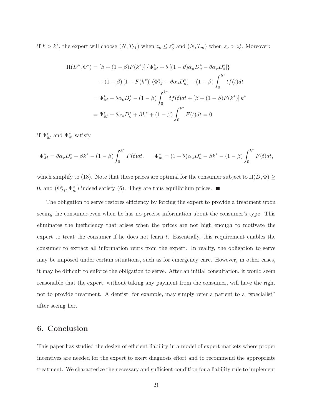if  $k > k^*$ , the expert will choose  $(N, T_M)$  when  $z_o \leq z_o^*$  and  $(N, T_m)$  when  $z_o > z_o^*$ . Moreover:

$$
\Pi(D^*, \Phi^*) = [\beta + (1 - \beta)F(k^*)] \{\Phi_M^* + \theta [(1 - \theta)\alpha_u D_u^* - \theta\alpha_o D_o^*]\}
$$
  
+ 
$$
(1 - \beta) [1 - F(k^*)] (\Phi_M^* - \theta\alpha_o D_o^*) - (1 - \beta) \int_0^{k^*} t f(t) dt
$$
  
= 
$$
\Phi_M^* - \theta\alpha_o D_o^* - (1 - \beta) \int_0^{k^*} t f(t) dt + [\beta + (1 - \beta)F(k^*)] k^*
$$
  
= 
$$
\Phi_M^* - \theta\alpha_o D_o^* + \beta k^* + (1 - \beta) \int_0^{k^*} F(t) dt = 0
$$

if  $\Phi_M^*$  and  $\Phi_m^*$  satisfy

$$
\Phi_M^* = \theta \alpha_o D_o^* - \beta k^* - (1 - \beta) \int_0^{k^*} F(t) dt, \qquad \Phi_m^* = (1 - \theta) \alpha_u D_u^* - \beta k^* - (1 - \beta) \int_0^{k^*} F(t) dt,
$$

which simplify to (18). Note that these prices are optimal for the consumer subject to  $\Pi(D, \Phi) \ge$ 0, and  $(\Phi_M^*, \Phi_m^*)$  indeed satisfy (6). They are thus equilibrium prices.

The obligation to serve restores efficiency by forcing the expert to provide a treatment upon seeing the consumer even when he has no precise information about the consumer's type. This eliminates the inefficiency that arises when the prices are not high enough to motivate the expert to treat the consumer if he does not learn  $t$ . Essentially, this requirement enables the consumer to extract all information rents from the expert. In reality, the obligation to serve may be imposed under certain situations, such as for emergency care. However, in other cases, it may be difficult to enforce the obligation to serve. After an initial consultation, it would seem reasonable that the expert, without taking any payment from the consumer, will have the right not to provide treatment. A dentist, for example, may simply refer a patient to a "specialist" after seeing her.

# 6. Conclusion

This paper has studied the design of efficient liability in a model of expert markets where proper incentives are needed for the expert to exert diagnosis effort and to recommend the appropriate treatment. We characterize the necessary and sufficient condition for a liability rule to implement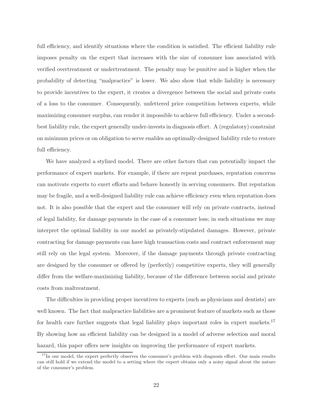full efficiency, and identify situations where the condition is satisfied. The efficient liability rule imposes penalty on the expert that increases with the size of consumer loss associated with verified overtreatment or undertreatment. The penalty may be punitive and is higher when the probability of detecting "malpractice" is lower. We also show that while liability is necessary to provide incentives to the expert, it creates a divergence between the social and private costs of a loss to the consumer. Consequently, unfettered price competition between experts, while maximizing consumer surplus, can render it impossible to achieve full efficiency. Under a secondbest liability rule, the expert generally under-invests in diagnosis effort. A (regulatory) constraint on minimum prices or on obligation to serve enables an optimally-designed liability rule to restore full efficiency.

We have analyzed a stylized model. There are other factors that can potentially impact the performance of expert markets. For example, if there are repeat purchases, reputation concerns can motivate experts to exert efforts and behave honestly in serving consumers. But reputation may be fragile, and a well-designed liability rule can achieve efficiency even when reputation does not. It is also possible that the expert and the consumer will rely on private contracts, instead of legal liability, for damage payments in the case of a consumer loss; in such situations we may interpret the optimal liability in our model as privately-stipulated damages. However, private contracting for damage payments can have high transaction costs and contract enforcement may still rely on the legal system. Moreover, if the damage payments through private contracting are designed by the consumer or offered by (perfectly) competitive experts, they will generally differ from the welfare-maximizing liability, because of the difference between social and private costs from maltreatment.

The difficulties in providing proper incentives to experts (such as physicians and dentists) are well known. The fact that malpractice liabilities are a prominent feature of markets such as those for health care further suggests that legal liability plays important roles in expert markets.<sup>17</sup> By showing how an efficient liability can be designed in a model of adverse selection and moral hazard, this paper offers new insights on improving the performance of expert markets.

 $17$ In our model, the expert perfectly observes the consumer's problem with diagnosis effort. Our main results can still hold if we extend the model to a setting where the expert obtains only a noisy signal about the nature of the consumer's problem.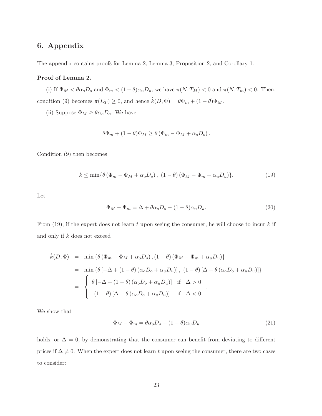# 6. Appendix

The appendix contains proofs for Lemma 2, Lemma 3, Proposition 2, and Corollary 1.

#### Proof of Lemma 2.

(i) If  $\Phi_M < \theta \alpha_o D_o$  and  $\Phi_m < (1 - \theta) \alpha_u D_u$ , we have  $\pi(N, T_M) < 0$  and  $\pi(N, T_m) < 0$ . Then, condition (9) becomes  $\pi(E_T) \ge 0$ , and hence  $\hat{k}(D, \Phi) = \theta \Phi_m + (1 - \theta) \Phi_M$ .

(ii) Suppose  $\Phi_M \geq \theta \alpha_o D_o$ . We have

$$
\theta \Phi_m + (1 - \theta) \Phi_M \ge \theta (\Phi_m - \Phi_M + \alpha_o D_o).
$$

Condition (9) then becomes

$$
k \le \min\{\theta(\Phi_m - \Phi_M + \alpha_o D_o), (1 - \theta)(\Phi_M - \Phi_m + \alpha_u D_u)\}.
$$
 (19)

Let

$$
\Phi_M - \Phi_m = \Delta + \theta \alpha_o D_o - (1 - \theta) \alpha_u D_u.
$$
\n(20)

From  $(19)$ , if the expert does not learn t upon seeing the consumer, he will choose to incur k if and only if  $k$  does not exceed

$$
\hat{k}(D, \Phi) = \min \{ \theta (\Phi_m - \Phi_M + \alpha_o D_o), (1 - \theta) (\Phi_M - \Phi_m + \alpha_u D_u) \}
$$
  
= 
$$
\min \{ \theta [-\Delta + (1 - \theta) (\alpha_o D_o + \alpha_u D_u)], (1 - \theta) [\Delta + \theta (\alpha_o D_o + \alpha_u D_u)] \}
$$
  
= 
$$
\begin{cases} \theta [-\Delta + (1 - \theta) (\alpha_o D_o + \alpha_u D_u)] & \text{if } \Delta > 0 \\ (1 - \theta) [\Delta + \theta (\alpha_o D_o + \alpha_u D_u)] & \text{if } \Delta < 0 \end{cases}
$$

We show that

$$
\Phi_M - \Phi_m = \theta \alpha_o D_o - (1 - \theta) \alpha_u D_u \tag{21}
$$

holds, or  $\Delta = 0$ , by demonstrating that the consumer can benefit from deviating to different prices if  $\Delta \neq 0$ . When the expert does not learn t upon seeing the consumer, there are two cases to consider: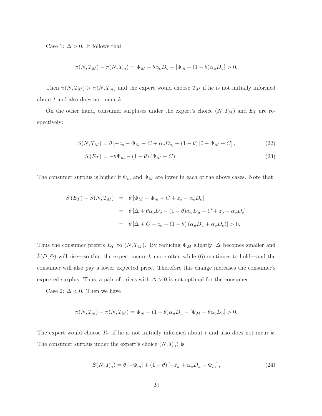Case 1:  $\Delta > 0$ . It follows that

$$
\pi(N,T_M) - \pi(N,T_m) = \Phi_M - \theta \alpha_o D_o - [\Phi_m - (1-\theta)\alpha_u D_u] > 0.
$$

Then  $\pi(N, T_M) > \pi(N, T_m)$  and the expert would choose  $T_M$  if he is not initially informed about  $t$  and also does not incur  $k$ .

On the other hand, consumer surpluses under the expert's choice  $(N, T_M)$  and  $E_T$  are respectively:

$$
S(N,T_M) = \theta \left[ -z_o - \Phi_M - C + \alpha_o D_o \right] + (1 - \theta) \left[ 0 - \Phi_M - C \right],
$$
\n(22)

$$
S(E_T) = -\theta \Phi_m - (1 - \theta) (\Phi_M + C). \tag{23}
$$

The consumer surplus is higher if  $\Phi_m$  and  $\Phi_M$  are lower in each of the above cases. Note that

$$
S(E_T) - S(N, T_M) = \theta [\Phi_M - \Phi_m + C + z_o - \alpha_o D_o]
$$
  
=  $\theta [\Delta + \theta \alpha_o D_o - (1 - \theta) \alpha_u D_u + C + z_o - \alpha_o D_o]$   
=  $\theta [\Delta + C + z_o - (1 - \theta) (\alpha_u D_u + \alpha_o D_o)] > 0.$ 

Thus the consumer prefers  $E_T$  to  $(N, T_M)$ . By reducing  $\Phi_M$  slightly,  $\Delta$  becomes smaller and  $k(D, \Phi)$  will rise—so that the expert incurs k more often while (6) continues to hold—and the consumer will also pay a lower expected price. Therefore this change increases the consumer's expected surplus. Thus, a pair of prices with  $\Delta > 0$  is not optimal for the consumer.

Case 2:  $\Delta$  < 0. Then we have

$$
\pi(N,T_m) - \pi(N,T_M) = \Phi_m - (1-\theta)\alpha_u D_u - [\Phi_M - \theta \alpha_o D_o] > 0.
$$

The expert would choose  $T_m$  if he is not initially informed about t and also does not incur k. The consumer surplus under the expert's choice  $(N, T_m)$  is

$$
S(N, T_m) = \theta \left[ -\Phi_m \right] + (1 - \theta) \left[ -z_u + \alpha_u D_u - \Phi_m \right],
$$
\n(24)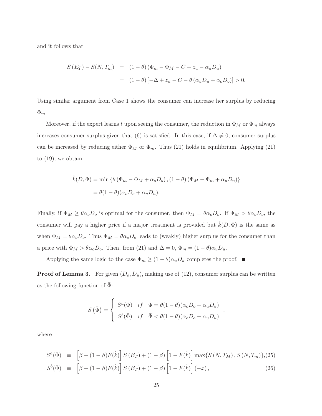and it follows that

$$
S(E_T) - S(N, T_m) = (1 - \theta) (\Phi_m - \Phi_M - C + z_u - \alpha_u D_u)
$$
  
= 
$$
(1 - \theta) [-\Delta + z_u - C - \theta (\alpha_u D_u + \alpha_o D_o)] > 0.
$$

Using similar argument from Case 1 shows the consumer can increase her surplus by reducing  $\Phi_m$ .

Moreover, if the expert learns  $t$  upon seeing the consumer, the reduction in  $\Phi_M$  or  $\Phi_m$  always increases consumer surplus given that (6) is satisfied. In this case, if  $\Delta \neq 0$ , consumer surplus can be increased by reducing either  $\Phi_M$  or  $\Phi_m$ . Thus (21) holds in equilibrium. Applying (21) to (19), we obtain

$$
\hat{k}(D, \Phi) = \min \{ \theta (\Phi_m - \Phi_M + \alpha_o D_o), (1 - \theta) (\Phi_M - \Phi_m + \alpha_u D_u) \}
$$
  
=  $\theta (1 - \theta) (\alpha_o D_o + \alpha_u D_u).$ 

Finally, if  $\Phi_M \ge \theta \alpha_o D_o$  is optimal for the consumer, then  $\Phi_M = \theta \alpha_o D_o$ . If  $\Phi_M > \theta \alpha_o D_o$ , the consumer will pay a higher price if a major treatment is provided but  $\hat{k}(D, \Phi)$  is the same as when  $\Phi_M = \theta \alpha_o D_o$ . Thus  $\Phi_M = \theta \alpha_o D_o$  leads to (weakly) higher surplus for the consumer than a price with  $\Phi_M > \theta \alpha_o D_o$ . Then, from (21) and  $\Delta = 0$ ,  $\Phi_m = (1 - \theta) \alpha_u D_u$ .

Applying the same logic to the case  $\Phi_m \geq (1 - \theta)\alpha_u D_u$  completes the proof.  $\blacksquare$ 

**Proof of Lemma 3.** For given  $(D_0, D_u)$ , making use of  $(12)$ , consumer surplus can be written as the following function of  $\bar{\Phi}$ :

$$
S(\bar{\Phi}) = \begin{cases} S^{a}(\bar{\Phi}) & \text{if } \bar{\Phi} = \theta(1-\theta)(\alpha_{o}D_{o} + \alpha_{u}D_{u}) \\ S^{b}(\bar{\Phi}) & \text{if } \bar{\Phi} < \theta(1-\theta)(\alpha_{o}D_{o} + \alpha_{u}D_{u}) \end{cases}
$$

,

where

$$
S^{a}(\bar{\Phi}) = [\beta + (1 - \beta)F(\hat{k})] S(E_{T}) + (1 - \beta) [1 - F(\hat{k})] \max\{S(N, T_{M}), S(N, T_{m})\}, (25)
$$
  

$$
S^{b}(\bar{\Phi}) = [\beta + (1 - \beta)F(\hat{k})] S(E_{T}) + (1 - \beta) [1 - F(\hat{k})] (-x),
$$
 (26)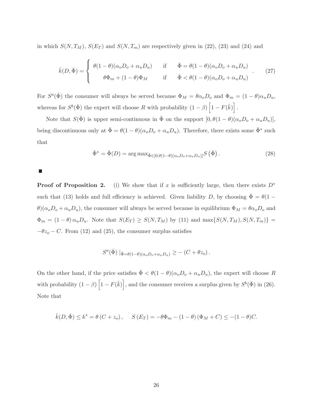in which  $S(N, T_M)$ ,  $S(E_T)$  and  $S(N, T_m)$  are respectively given in (22), (23) and (24) and

$$
\hat{k}(D,\bar{\Phi}) = \begin{cases}\n\theta(1-\theta)(\alpha_o D_o + \alpha_u D_u) & \text{if } \bar{\Phi} = \theta(1-\theta)(\alpha_o D_o + \alpha_u D_u) \\
\theta \Phi_m + (1-\theta) \Phi_M & \text{if } \bar{\Phi} < \theta(1-\theta)(\alpha_o D_o + \alpha_u D_u)\n\end{cases} (27)
$$

For  $S^a(\bar{\Phi})$  the consumer will always be served because  $\Phi_M = \theta \alpha_o D_o$  and  $\Phi_m = (1 - \theta) \alpha_u D_u$ , whereas for  $S^b(\bar{\Phi})$  the expert will choose R with probability  $(1 - \beta) \left[1 - F(\hat{k})\right]$ .

Note that  $S(\bar{\Phi})$  is upper semi-continuous in  $\bar{\Phi}$  on the support  $[0, \theta(1-\theta)(\alpha_o D_o + \alpha_u D_u)],$ being discontinuous only at  $\bar{\Phi} = \theta(1 - \theta)(\alpha_o D_o + \alpha_u D_u)$ . Therefore, there exists some  $\bar{\Phi}^*$  such that

$$
\bar{\Phi}^* = \bar{\Phi}(D) = \arg \max_{\bar{\Phi} \in [0, \theta(1-\theta)(\alpha_o D_o + \alpha_u D_u)]} S(\bar{\Phi}). \tag{28}
$$

П

**Proof of Proposition 2.** (i) We show that if x is sufficiently large, then there exists  $D^*$ such that (13) holds and full efficiency is achieved. Given liability D, by choosing  $\bar{\Phi} = \theta(1 - \bar{\theta})$  $\theta$ )( $\alpha_oD_o + \alpha_uD_u$ ), the consumer will always be served because in equilibrium  $\Phi_M = \theta \alpha_o D_o$  and  $\Phi_m = (1 - \theta) \alpha_u D_u$ . Note that  $S(E_T) \geq S(N, T_M)$  by (11) and max $\{S(N, T_M), S(N, T_m)\}$  $-\theta z_o - C$ . From (12) and (25), the consumer surplus satisfies

$$
S^{a}(\bar{\Phi}) |_{\bar{\Phi} = \theta(1-\theta)(\alpha_o D_o + \alpha_u D_u)} \geq - (C + \theta z_o).
$$

On the other hand, if the price satisfies  $\bar{\Phi} < \theta(1-\theta)(\alpha_o D_o + \alpha_u D_u)$ , the expert will choose R with probability  $(1 - \beta) \left[1 - F(\hat{k})\right]$ , and the consumer receives a surplus given by  $S^b(\bar{\Phi})$  in (26). Note that

$$
\hat{k}(D,\bar{\Phi}) \le k^* = \theta(C+z_o), \quad S(E_T) = -\theta\Phi_m - (1-\theta)(\Phi_M+C) \le -(1-\theta)C.
$$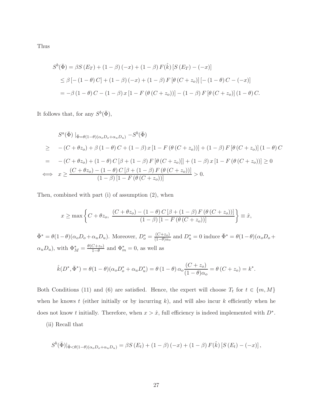Thus

$$
S^{b}(\bar{\Phi}) = \beta S(E_{T}) + (1 - \beta)(-x) + (1 - \beta) F(\hat{k}) [S(E_{T}) - (-x)]
$$
  
\n
$$
\leq \beta [-(1 - \theta) C] + (1 - \beta)(-x) + (1 - \beta) F[\theta (C + z_{o})] [-(1 - \theta) C - (-x)]
$$
  
\n
$$
= -\beta (1 - \theta) C - (1 - \beta) x [1 - F(\theta (C + z_{o}))] - (1 - \beta) F[\theta (C + z_{o})] (1 - \theta) C.
$$

It follows that, for any  $S^b(\bar{\Phi})$ ,

$$
S^{a}(\bar{\Phi}) |_{\bar{\Phi} = \theta(1-\theta)(\alpha_{o}D_{o} + \alpha_{u}D_{u})} - S^{b}(\bar{\Phi})
$$
  
\n
$$
\geq -(C + \theta z_{o}) + \beta (1 - \theta) C + (1 - \beta) x [1 - F(\theta (C + z_{o}))] + (1 - \beta) F[\theta (C + z_{o})] (1 - \theta) C
$$
  
\n
$$
= -(C + \theta z_{o}) + (1 - \theta) C [\beta + (1 - \beta) F[\theta (C + z_{o})]] + (1 - \beta) x [1 - F(\theta (C + z_{o}))] \geq 0
$$
  
\n
$$
\iff x \geq \frac{(C + \theta z_{o}) - (1 - \theta) C[\beta + (1 - \beta) F(\theta (C + z_{o}))]}{(1 - \beta) [1 - F(\theta (C + z_{o}))]} > 0.
$$

Then, combined with part (i) of assumption (2), when

$$
x \ge \max\left\{C + \theta z_o, \ \frac{(C + \theta z_o) - (1 - \theta) C [\beta + (1 - \beta) F (\theta (C + z_o))]}{(1 - \beta) [1 - F (\theta (C + z_o))]} \right\} \equiv \hat{x},
$$

 $\bar{\Phi}^* = \theta(1-\theta)(\alpha_o D_o + \alpha_u D_u)$ . Moreover,  $D_o^* = \frac{(C+z_o)}{(1-\theta)\alpha_o}$  $\frac{(C+z_o)}{(1-\theta)\alpha_o}$  and  $D_u^* = 0$  induce  $\bar{\Phi}^* = \theta(1-\theta)(\alpha_o D_o + \theta_o)$  $\alpha_u D_u$ , with  $\Phi_M^* = \frac{\theta(C+z_o)}{1-\theta}$  $\frac{C+z_o}{1-\theta}$  and  $\Phi_m^* = 0$ , as well as

$$
\hat{k}(D^*, \bar{\Phi}^*) = \theta(1 - \theta)(\alpha_o D_o^* + \alpha_u D_u^*) = \theta(1 - \theta)\alpha_o \frac{(C + z_o)}{(1 - \theta)\alpha_o} = \theta(C + z_o) = k^*.
$$

Both Conditions (11) and (6) are satisfied. Hence, the expert will choose  $T_t$  for  $t \in \{m, M\}$ when he knows  $t$  (either initially or by incurring  $k$ ), and will also incur  $k$  efficiently when he does not know t initially. Therefore, when  $x > \hat{x}$ , full efficiency is indeed implemented with  $D^*$ .

(ii) Recall that

$$
S^{b}(\overline{\Phi})|_{\overline{\Phi}<\theta(1-\theta)(\alpha_o D_o+\alpha_u D_u)} = \beta S(E_t) + (1-\beta)(-x) + (1-\beta) F(\hat{k}) [S(E_t) - (-x)],
$$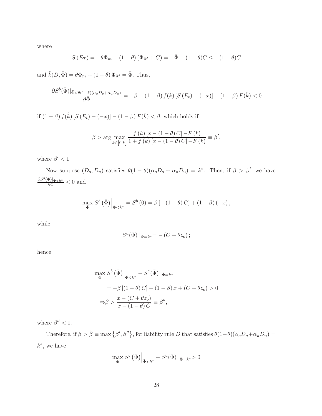where

$$
S(E_T) = -\theta \Phi_m - (1 - \theta) (\Phi_M + C) = -\bar{\Phi} - (1 - \theta)C \leq -(1 - \theta)C
$$

and  $\hat{k}(D, \bar{\Phi}) = \theta \Phi_m + (1 - \theta) \Phi_M = \bar{\Phi}$ . Thus,

$$
\frac{\partial S^{b}(\bar{\Phi})|_{\bar{\Phi}<\theta(1-\theta)(\alpha_o D_o + \alpha_u D_u)}}{\partial \bar{\Phi}} = -\beta + (1-\beta) f(\hat{k}) \left[ S(E_t) - (-x) \right] - (1-\beta) F(\hat{k}) < 0
$$

if  $(1 - \beta) f(\hat{k}) [S(E_t) - (-x)] - (1 - \beta) F(\hat{k}) < \beta$ , which holds if

$$
\beta > \arg \max_{k \in [0,\bar{k}]} \frac{f(k) [x - (1 - \theta) C] - F(k)}{1 + f(k) [x - (1 - \theta) C] - F(k)} \equiv \beta',
$$

where  $\beta' < 1$ .

Now suppose  $(D_o, D_u)$  satisfies  $\theta(1-\theta)(\alpha_o D_o + \alpha_u D_u) = k^*$ . Then, if  $\beta > \beta'$ , we have  $\frac{\partial S^b(\bar{\Phi})|_{\bar{\Phi}\leq k^*}}{\partial \bar{\Phi}} < 0$  and

$$
\max_{\bar{\Phi}} S^{b} (\bar{\Phi}) \Big|_{\bar{\Phi} < k^{*}} = S^{b} (0) = \beta \left[ - (1 - \theta) C \right] + (1 - \beta) (-x),
$$

while

$$
S^a(\bar{\Phi})\mid_{\bar{\Phi}=k^*} = -\left(C+\theta z_o\right);
$$

hence

$$
\max_{\bar{\Phi}} S^{b} (\bar{\Phi})\Big|_{\bar{\Phi} < k^{*}} - S^{a} (\bar{\Phi}) \Big|_{\bar{\Phi} = k^{*}}
$$
  
=  $-\beta [(1 - \theta) C] - (1 - \beta) x + (C + \theta z_{o}) > 0$   
 $\Leftrightarrow \beta > \frac{x - (C + \theta z_{o})}{x - (1 - \theta) C} \equiv \beta'',$ 

where  $\beta'' < 1$ .

Therefore, if  $\beta > \hat{\beta} \equiv \max{\{\beta', \beta''\}}$ , for liability rule D that satisfies  $\theta(1-\theta)(\alpha_o D_o + \alpha_u D_u)$  $k^*$ , we have

$$
\max_{\bar{\Phi}} S^b \left( \bar{\Phi} \right) \Big|_{\bar{\Phi} < k^*} - S^a(\bar{\Phi}) \mid_{\bar{\Phi} = k^*} > 0
$$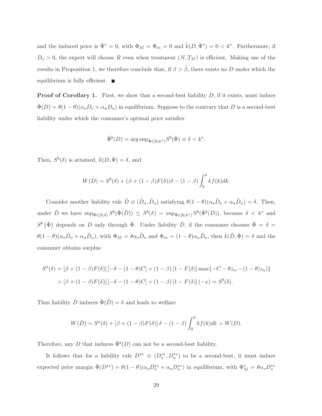and the induced price is  $\bar{\Phi}^* = 0$ , with  $\Phi_M = \Phi_m = 0$  and  $\hat{k}(D, \bar{\Phi}^*) = 0 \lt k^*$ . Furthermore, if  $D<sub>o</sub> > 0$ , the expert will choose R even when treatment  $(N, T_M)$  is efficient. Making use of the results in Proposition 1, we therefore conclude that, if  $\beta > \hat{\beta}$ , there exists no D under which the equilibrium is fully efficient.  $\blacksquare$ 

**Proof of Corollary 1.** First, we show that a second-best liability  $D$ , if it exists, must induce  $\bar{\Phi}(D) = \theta(1-\theta)(\alpha_o D_o + \alpha_u D_u)$  in equilibrium. Suppose to the contrary that D is a second-best liability under which the consumer's optimal price satisfies

$$
\bar{\Phi}^b(D) = \arg \sup_{\bar{\Phi} \in [0,k^*)} S^b(\bar{\Phi}) \equiv \delta < k^*.
$$

Then,  $S^b(\delta)$  is attained,  $\hat{k}(D, \bar{\Phi}) = \delta$ , and

$$
W(D) = S^{b}(\delta) + (\beta + (1 - \beta)F(\delta))\delta - (1 - \beta)\int_0^{\delta} kf(k)dk.
$$

Consider another liability rule  $\hat{D} \equiv (\hat{D}_o, \hat{D}_u)$  satisfying  $\theta(1-\theta)(\alpha_o\hat{D}_o + \alpha_u\hat{D}_u) = \delta$ . Then, under  $\hat{D}$  we have  $\sup_{\bar{\Phi}\in[0,\delta)}S^b(\bar{\Phi}(\hat{D}))\leq S^b(\delta)=\sup_{\bar{\Phi}\in[0,k^*)}S^b(\bar{\Phi}^b(D))$ , because  $\delta < k^*$  and  $S^b$  ( $\bar{\Phi}$ ) depends on D only through  $\bar{\Phi}$ . Under liability  $\hat{D}$ , if the consumer chooses  $\bar{\Phi} = \delta =$  $\theta(1-\theta)(\alpha_o\hat{D}_o + \alpha_u\hat{D}_u)$ , with  $\Phi_M = \theta\alpha_o\hat{D}_o$  and  $\Phi_m = (1-\theta)\alpha_u\hat{D}_u$ , then  $\hat{k}(\hat{D}, \bar{\Phi}) = \delta$  and the consumer obtains surplus

$$
S^{a}(\delta) = [\beta + (1 - \beta)F(\delta)][-\delta - (1 - \theta)C] + (1 - \beta)[1 - F(\delta)]\max\{-C - \theta z_{o}, -(1 - \theta)z_{u}\}\
$$

$$
> [\beta + (1 - \beta)F(\delta)][-\delta - (1 - \theta)C] + (1 - \beta)[1 - F(\delta)](-x) = S^{b}(\delta).
$$

Thus liability  $\hat{D}$  induces  $\bar{\Phi}(\hat{D}) = \delta$  and leads to welfare

$$
W(\hat{D}) = S^a(\delta) + [\beta + (1 - \beta)F(\delta)]\delta - (1 - \beta)\int_0^{\delta} kf(k)dk > W(D).
$$

Therefore, any D that induces  $\bar{\Phi}^b(D)$  can not be a second-best liability.

It follows that for a liability rule  $D^{**} \equiv (D^{**}_{o}, D^{**}_{u})$  to be a second-best, it must induce expected price margin  $\bar{\Phi}(D^{**}) = \theta(1-\theta)(\alpha_o D_o^{**} + \alpha_u D_u^{**})$  in equilibrium, with  $\Phi_M^* = \theta \alpha_o D_o^{**}$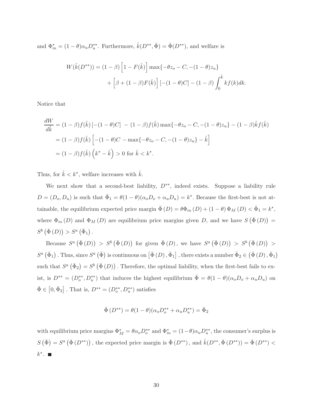and  $\Phi_m^* = (1 - \theta)\alpha_u D_u^{**}$ . Furthermore,  $\hat{k}(D^{**}, \bar{\Phi}) = \bar{\Phi}(D^{**})$ , and welfare is

$$
W(\hat{k}(D^{**})) = (1 - \beta) \left[ 1 - F(\hat{k}) \right] \max\{-\theta z_o - C, -(1 - \theta)z_u\}
$$

$$
+ \left[ \beta + (1 - \beta)F(\hat{k}) \right] \left[ -(1 - \theta)C \right] - (1 - \beta) \int_0^{\hat{k}} kf(k)dk.
$$

Notice that

$$
\frac{dW}{d\hat{k}} = (1 - \beta)f(\hat{k}) [-(1 - \theta)C] - (1 - \beta)f(\hat{k}) \max\{-\theta z_o - C, -(1 - \theta)z_u\} - (1 - \beta)\hat{k}f(\hat{k})
$$

$$
= (1 - \beta)f(\hat{k}) [-(1 - \theta)C - \max\{-\theta z_o - C, -(1 - \theta)z_u\} - \hat{k}]
$$

$$
= (1 - \beta)f(\hat{k}) (k^* - \hat{k}) > 0 \text{ for } \hat{k} < k^*.
$$

Thus, for  $\hat{k} < k^*$ , welfare increases with  $\hat{k}$ .

We next show that a second-best liability,  $D^{**}$ , indeed exists. Suppose a liability rule  $D=(D_o, D_u)$  is such that  $\bar{\Phi}_1=\theta(1-\theta)(\alpha_o D_o+\alpha_u D_u)=k^*$ . Because the first-best is not attainable, the equilibrium expected price margin  $\bar{\Phi}(D) = \theta \Phi_m(D) + (1 - \theta) \Phi_M(D) < \bar{\Phi}_1 = k^*$ , where  $\Phi_m(D)$  and  $\Phi_M(D)$  are equilibrium price margins given D, and we have  $S(\bar{\Phi}(D)) =$  $S^b\left(\bar{\Phi}\left(D\right)\right) > S^a\left(\bar{\Phi}_1\right).$ 

Because  $S^a(\bar{\Phi}(D)) > S^b(\bar{\Phi}(D))$  for given  $\bar{\Phi}(D)$ , we have  $S^a(\bar{\Phi}(D)) > S^b(\bar{\Phi}(D)) >$  $S^a\left(\bar{\Phi}_1\right)$ . Thus, since  $S^a\left(\bar{\Phi}\right)$  is continuous on  $\left[\bar{\Phi}\left(D\right),\bar{\Phi}_1\right]$ , there exists a number  $\bar{\Phi}_2 \in \left(\bar{\Phi}\left(D\right),\bar{\Phi}_1\right)$ such that  $S^a(\bar{\Phi}_2) = S^b(\bar{\Phi}(D))$ . Therefore, the optimal liability, when the first-best fails to exist, is  $D^{**} = (D_o^{**}, D_u^{**})$  that induces the highest equilibrium  $\bar{\Phi} = \theta(1-\theta)(\alpha_o D_o + \alpha_u D_u)$  on  $\bar{\Phi} \in [0, \bar{\Phi}_2]$ . That is,  $D^{**} = (D^{**}_{o}, D^{**}_{u})$  satisfies

$$
\bar{\Phi}\left(D^{**}\right)=\theta(1-\theta)(\alpha_o D_o^{**}+\alpha_u D_u^{**})=\bar{\Phi}_2
$$

with equilibrium price margins  $\Phi_M^* = \theta \alpha_o D_o^{**}$  and  $\Phi_m^* = (1 - \theta) \alpha_u D_u^{**}$ , the consumer's surplus is  $S(\bar{\Phi}) = S^a(\bar{\Phi}(D^{**}))$ , the expected price margin is  $\bar{\Phi}(D^{**})$ , and  $\hat{k}(D^{**}, \bar{\Phi}(D^{**})) = \bar{\Phi}(D^{**})$  $k^*$ .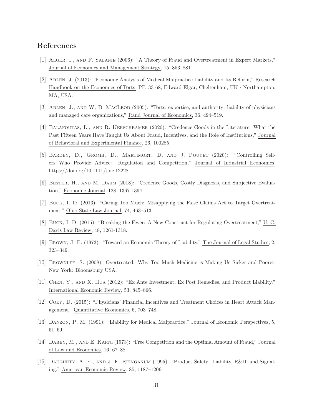# References

- [1] Alger, I., and F. Salanie (2006): "A Theory of Fraud and Overtreatment in Expert Markets," Journal of Economics and Management Strategy, 15, 853–881.
- [2] Arlen, J. (2013): "Economic Analysis of Medical Malpractice Liability and Its Reform," Research Handbook on the Economics of Torts, PP. 33-68, Edward Elgar, Cheltenham, UK · Northampton, MA, USA.
- [3] ARLEN, J., AND W. B. MACLEOD (2005): "Torts, expertise, and authority: liability of physicians and managed care organizations," Rand Journal of Economics, 36, 494–519.
- [4] Balafoutas, L., and R. Kerschbamer (2020): "Credence Goods in the Literature: What the Past Fifteen Years Have Taught Us About Fraud, Incentives, and the Role of Institutions," Journal of Behavioral and Experimental Finance, 26, 100285.
- [5] Bardey, D., Gromb, D., Martimort, D. and J. Pouyet (2020): "Controlling Sellers Who Provide Advice: Regulation and Competition," Journal of Industrial Economics, https://doi.org/10.1111/joie.12228
- [6] Bester, H., and M. Dahm (2018): "Credence Goods, Costly Diagnosis, and Subjective Evaluation," Economic Journal, 128, 1367-1394.
- [7] Buck, I. D. (2013): "Caring Too Much: Misapplying the False Claims Act to Target Overtreatment," Ohio State Law Journal, 74, 463–513.
- [8] Buck, I. D. (2015): "Breaking the Fever: A New Construct for Regulating Overtreatment," U. C. Davis Law Review, 48, 1261-1318.
- [9] Brown, J. P. (1973): "Toward an Economic Theory of Liability," The Journal of Legal Studies, 2, 323–349.
- [10] Brownlee, S. (2008): Overtreated: Why Too Much Medicine is Making Us Sicker and Poorer. New York: Bloomsbury USA.
- [11] Chen, Y., and X. Hua (2012): "Ex Ante Investment, Ex Post Remedies, and Product Liability," International Economic Review, 53, 845–866.
- [12] Coey, D. (2015): "Physicians' Financial Incentives and Treatment Choices in Heart Attack Management," Quantitative Economics, 6, 703–748.
- [13] Danzon, P. M. (1991): "Liability for Medical Malpractice," Journal of Economic Perspectives, 5, 51–69.
- [14] Darby, M., and E. Karni (1973): "Free Competition and the Optimal Amount of Fraud," Journal of Law and Economics, 16, 67–88.
- [15] Daughety, A. F., and J. F. Reinganum (1995): "Product Safety: Liability, R&D, and Signaling," American Economic Review, 85, 1187–1206.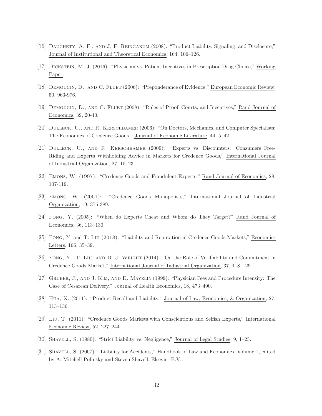- [16] Daughety, A. F., and J. F. Reinganum (2008): "Product Liability, Signaling, and Disclosure," Journal of Institutional and Theoretical Economics, 164, 106–126.
- [17] Dickstein, M. J. (2016): "Physician vs. Patient Incentives in Prescription Drug Choice," Working Paper.
- [18] Demougin, D., and C. Fluet (2006): "Preponderance of Evidence," European Economic Review, 50, 963-976.
- [19] Demougin, D., and C. Fluet (2008): "Rules of Proof, Courts, and Incentives," Rand Journal of Economics, 39, 20-40.
- [20] Dulleck, U., and R. Kerschbamer (2006): "On Doctors, Mechanics, and Computer Specialists: The Economics of Credence Goods," Journal of Economic Literature, 44, 5–42.
- [21] Dulleck, U., and R. Kerschbamer (2009): "Experts vs. Discounters: Consumers Free-Riding and Experts Withholding Advice in Markets for Credence Goods," International Journal of Industrial Organization, 27, 15–23.
- [22] Emons, W. (1997): "Credence Goods and Fraudulent Experts," Rand Journal of Economics, 28, 107-119.
- [23] Emons, W. (2001): "Credence Goods Monopolists," International Journal of Industrial Organization, 19, 375-389.
- [24] Fong, Y. (2005): "When do Experts Cheat and Whom do They Target?" Rand Journal of Economics, 36, 113–130.
- [25] Fong, Y. and T. Liu (2018): "Liability and Reputation in Credence Goods Markets," Economics Letters, 166, 35–39.
- [26] Fong, Y., T. Liu, and D. J. Wright (2014): "On the Role of Verifiability and Commitment in Credence Goods Market," International Journal of Industrial Organization, 37, 118–129.
- [27] Gruber, J., and J. Kim, and D. Mayzlin (1999): "Physician Fees and Procedure Intensity: The Case of Cesarean Delivery," Journal of Health Economics, 18, 473–490.
- [28] Hua, X. (2011): "Product Recall and Liability," Journal of Law, Economics, & Organization, 27, 113–136.
- [29] Liu, T. (2011): "Credence Goods Markets with Conscientious and Selfish Experts," International Economic Review, 52, 227–244.
- [30] Shavell, S. (1980): "Strict Liability vs. Negligence," Journal of Legal Studies, 9, 1–25.
- [31] Shavell, S. (2007): "Liability for Accidents," Handbook of Law and Economics, Volume 1, edited by A. Mitchell Polinsky and Steven Shavell, Elsevier B.V..